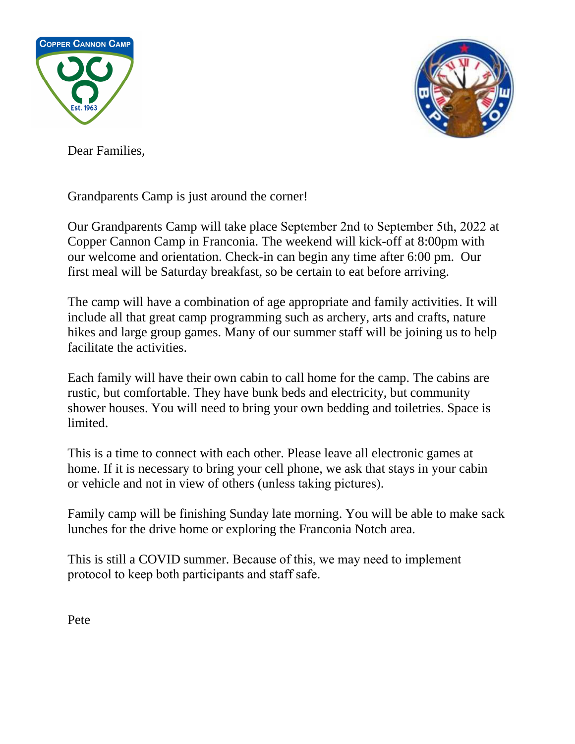



Dear Families,

Grandparents Camp is just around the corner!

Our Grandparents Camp will take place September 2nd to September 5th, 2022 at Copper Cannon Camp in Franconia. The weekend will kick-off at 8:00pm with our welcome and orientation. Check-in can begin any time after 6:00 pm. Our first meal will be Saturday breakfast, so be certain to eat before arriving.

The camp will have a combination of age appropriate and family activities. It will include all that great camp programming such as archery, arts and crafts, nature hikes and large group games. Many of our summer staff will be joining us to help facilitate the activities.

Each family will have their own cabin to call home for the camp. The cabins are rustic, but comfortable. They have bunk beds and electricity, but community shower houses. You will need to bring your own bedding and toiletries. Space is limited.

This is a time to connect with each other. Please leave all electronic games at home. If it is necessary to bring your cell phone, we ask that stays in your cabin or vehicle and not in view of others (unless taking pictures).

Family camp will be finishing Sunday late morning. You will be able to make sack lunches for the drive home or exploring the Franconia Notch area.

This is still a COVID summer. Because of this, we may need to implement protocol to keep both participants and staff safe.

Pete